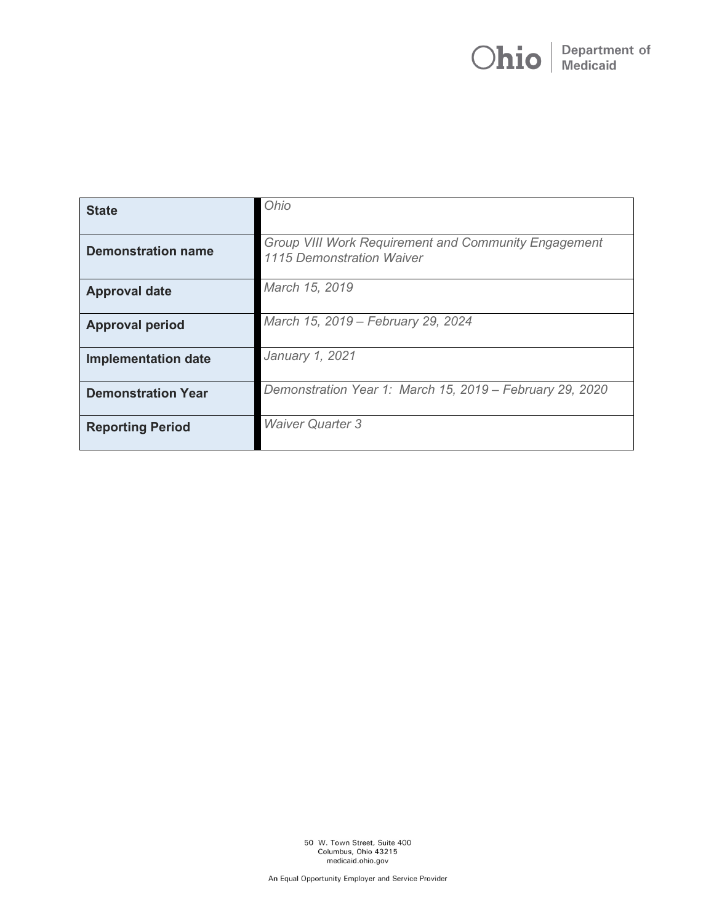# **Department of**<br>Medicaid Ohio

| <b>State</b>               | Ohio                                                                                     |
|----------------------------|------------------------------------------------------------------------------------------|
| <b>Demonstration name</b>  | <b>Group VIII Work Requirement and Community Engagement</b><br>1115 Demonstration Waiver |
| <b>Approval date</b>       | March 15, 2019                                                                           |
| <b>Approval period</b>     | March 15, 2019 - February 29, 2024                                                       |
| <b>Implementation date</b> | January 1, 2021                                                                          |
| <b>Demonstration Year</b>  | Demonstration Year 1: March 15, 2019 - February 29, 2020                                 |
| <b>Reporting Period</b>    | <b>Waiver Quarter 3</b>                                                                  |

50 W. Town Street, Suite 400<br>Columbus, Ohio 43215<br>medicaid.ohio.gov

An Equal Opportunity Employer and Service Provider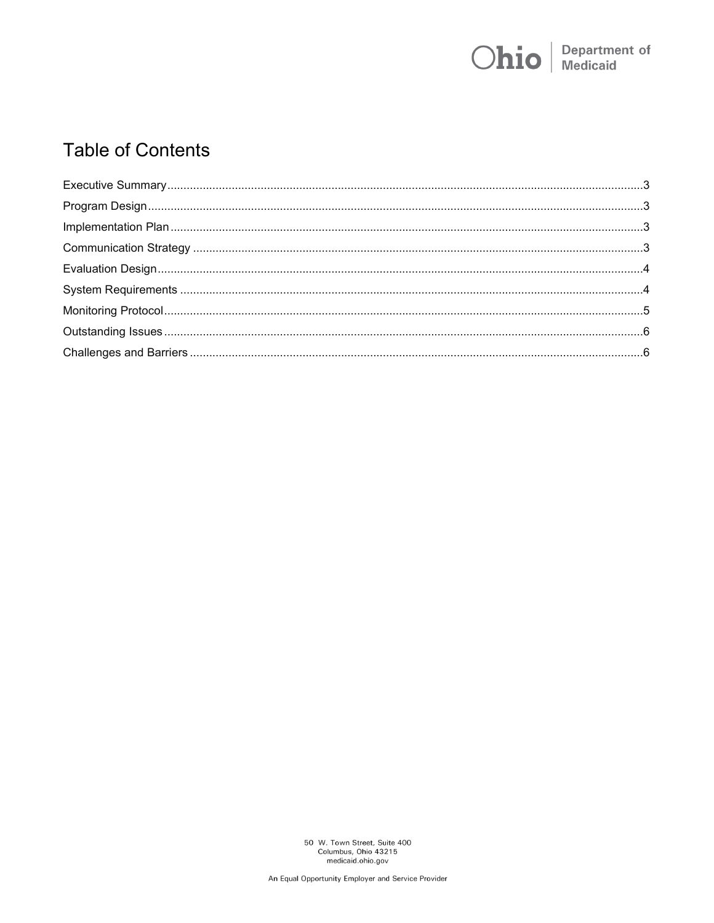

# **Table of Contents**

50 W. Town Street, Suite 400<br>Columbus, Ohio 43215<br>medicaid.ohio.gov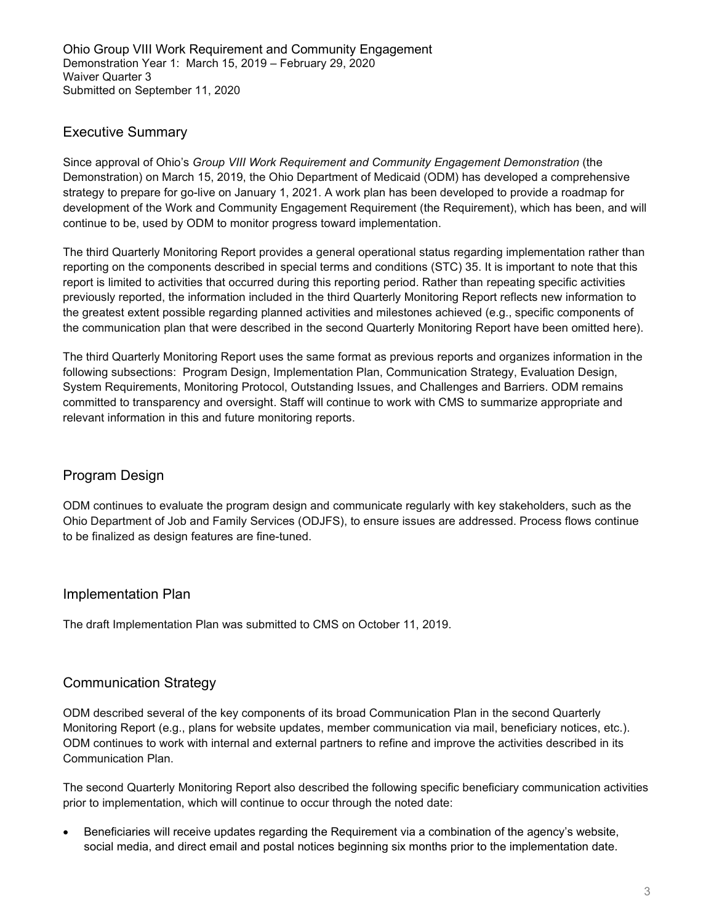# <span id="page-2-0"></span>Executive Summary

Since approval of Ohio's *Group VIII Work Requirement and Community Engagement Demonstration* (the Demonstration) on March 15, 2019, the Ohio Department of Medicaid (ODM) has developed a comprehensive strategy to prepare for go-live on January 1, 2021. A work plan has been developed to provide a roadmap for development of the Work and Community Engagement Requirement (the Requirement), which has been, and will continue to be, used by ODM to monitor progress toward implementation.

The third Quarterly Monitoring Report provides a general operational status regarding implementation rather than reporting on the components described in special terms and conditions (STC) 35. It is important to note that this report is limited to activities that occurred during this reporting period. Rather than repeating specific activities previously reported, the information included in the third Quarterly Monitoring Report reflects new information to the greatest extent possible regarding planned activities and milestones achieved (e.g., specific components of the communication plan that were described in the second Quarterly Monitoring Report have been omitted here).

The third Quarterly Monitoring Report uses the same format as previous reports and organizes information in the following subsections: Program Design, Implementation Plan, Communication Strategy, Evaluation Design, System Requirements, Monitoring Protocol, Outstanding Issues, and Challenges and Barriers. ODM remains committed to transparency and oversight. Staff will continue to work with CMS to summarize appropriate and relevant information in this and future monitoring reports.

# <span id="page-2-1"></span>Program Design

ODM continues to evaluate the program design and communicate regularly with key stakeholders, such as the Ohio Department of Job and Family Services (ODJFS), to ensure issues are addressed. Process flows continue to be finalized as design features are fine-tuned.

# <span id="page-2-2"></span>Implementation Plan

The draft Implementation Plan was submitted to CMS on October 11, 2019.

# <span id="page-2-3"></span>Communication Strategy

ODM described several of the key components of its broad Communication Plan in the second Quarterly Monitoring Report (e.g., plans for website updates, member communication via mail, beneficiary notices, etc.). ODM continues to work with internal and external partners to refine and improve the activities described in its Communication Plan.

The second Quarterly Monitoring Report also described the following specific beneficiary communication activities prior to implementation, which will continue to occur through the noted date:

• Beneficiaries will receive updates regarding the Requirement via a combination of the agency's website, social media, and direct email and postal notices beginning six months prior to the implementation date.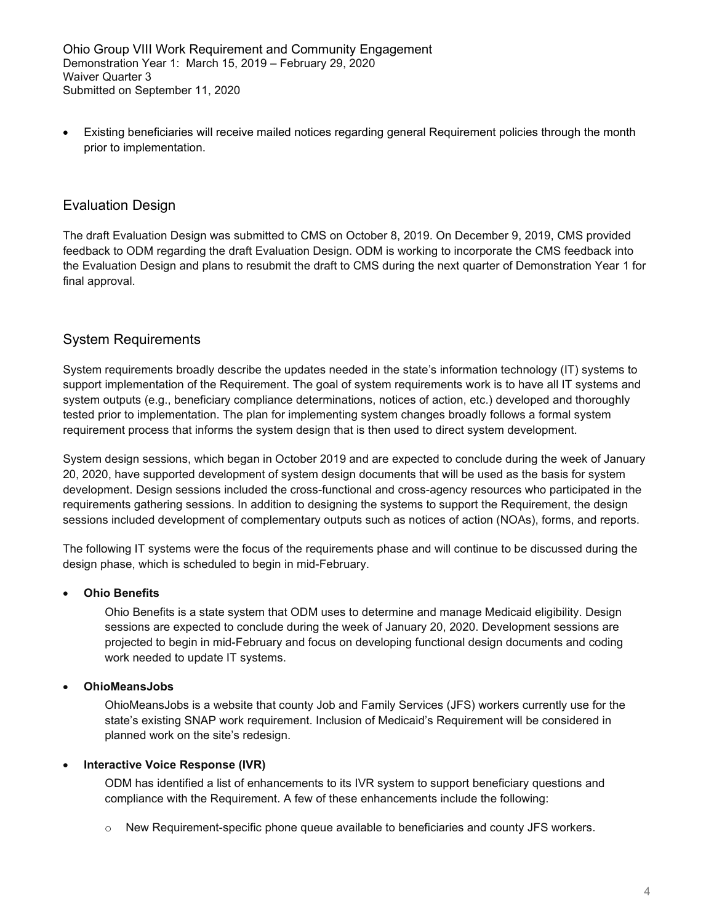Ohio Group VIII Work Requirement and Community Engagement Demonstration Year 1: March 15, 2019 – February 29, 2020 Waiver Quarter 3 Submitted on September 11, 2020

• Existing beneficiaries will receive mailed notices regarding general Requirement policies through the month prior to implementation.

# <span id="page-3-0"></span>Evaluation Design

The draft Evaluation Design was submitted to CMS on October 8, 2019. On December 9, 2019, CMS provided feedback to ODM regarding the draft Evaluation Design. ODM is working to incorporate the CMS feedback into the Evaluation Design and plans to resubmit the draft to CMS during the next quarter of Demonstration Year 1 for final approval.

# <span id="page-3-1"></span>System Requirements

System requirements broadly describe the updates needed in the state's information technology (IT) systems to support implementation of the Requirement. The goal of system requirements work is to have all IT systems and system outputs (e.g., beneficiary compliance determinations, notices of action, etc.) developed and thoroughly tested prior to implementation. The plan for implementing system changes broadly follows a formal system requirement process that informs the system design that is then used to direct system development.

System design sessions, which began in October 2019 and are expected to conclude during the week of January 20, 2020, have supported development of system design documents that will be used as the basis for system development. Design sessions included the cross-functional and cross-agency resources who participated in the requirements gathering sessions. In addition to designing the systems to support the Requirement, the design sessions included development of complementary outputs such as notices of action (NOAs), forms, and reports.

The following IT systems were the focus of the requirements phase and will continue to be discussed during the design phase, which is scheduled to begin in mid-February.

#### • **Ohio Benefits**

Ohio Benefits is a state system that ODM uses to determine and manage Medicaid eligibility. Design sessions are expected to conclude during the week of January 20, 2020. Development sessions are projected to begin in mid-February and focus on developing functional design documents and coding work needed to update IT systems.

#### • **OhioMeansJobs**

OhioMeansJobs is a website that county Job and Family Services (JFS) workers currently use for the state's existing SNAP work requirement. Inclusion of Medicaid's Requirement will be considered in planned work on the site's redesign.

#### • **Interactive Voice Response (IVR)**

ODM has identified a list of enhancements to its IVR system to support beneficiary questions and compliance with the Requirement. A few of these enhancements include the following:

 $\circ$  New Requirement-specific phone queue available to beneficiaries and county JFS workers.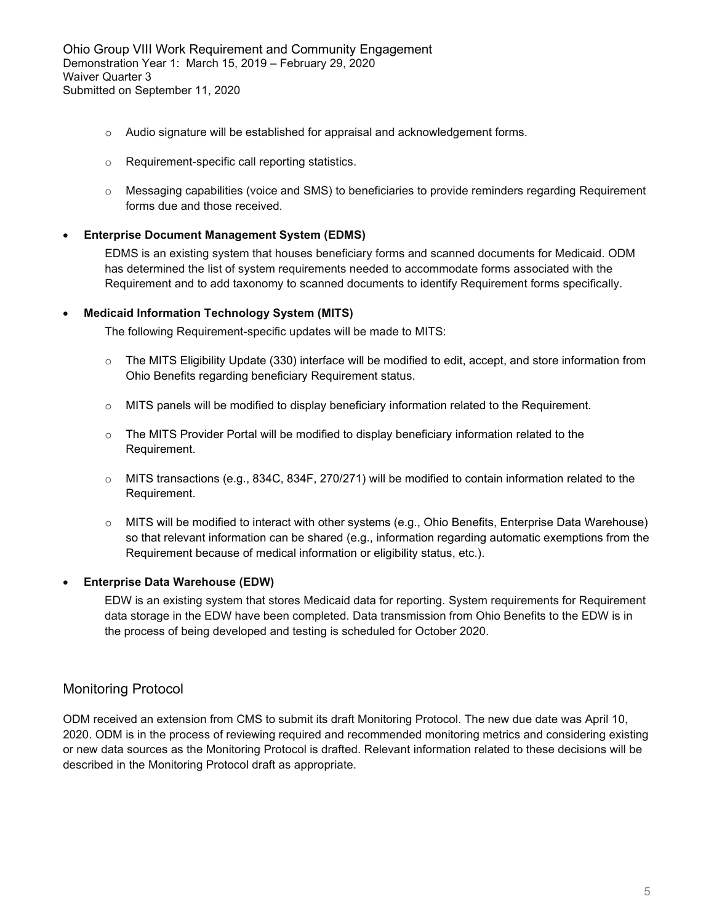Ohio Group VIII Work Requirement and Community Engagement Demonstration Year 1: March 15, 2019 – February 29, 2020 Waiver Quarter 3 Submitted on September 11, 2020

- $\circ$  Audio signature will be established for appraisal and acknowledgement forms.
- o Requirement-specific call reporting statistics.
- o Messaging capabilities (voice and SMS) to beneficiaries to provide reminders regarding Requirement forms due and those received.

#### • **Enterprise Document Management System (EDMS)**

EDMS is an existing system that houses beneficiary forms and scanned documents for Medicaid. ODM has determined the list of system requirements needed to accommodate forms associated with the Requirement and to add taxonomy to scanned documents to identify Requirement forms specifically.

#### • **Medicaid Information Technology System (MITS)**

The following Requirement-specific updates will be made to MITS:

- $\circ$  The MITS Eligibility Update (330) interface will be modified to edit, accept, and store information from Ohio Benefits regarding beneficiary Requirement status.
- $\circ$  MITS panels will be modified to display beneficiary information related to the Requirement.
- $\circ$  The MITS Provider Portal will be modified to display beneficiary information related to the Requirement.
- o MITS transactions (e.g., 834C, 834F, 270/271) will be modified to contain information related to the Requirement.
- o MITS will be modified to interact with other systems (e.g., Ohio Benefits, Enterprise Data Warehouse) so that relevant information can be shared (e.g., information regarding automatic exemptions from the Requirement because of medical information or eligibility status, etc.).

#### • **Enterprise Data Warehouse (EDW)**

EDW is an existing system that stores Medicaid data for reporting. System requirements for Requirement data storage in the EDW have been completed. Data transmission from Ohio Benefits to the EDW is in the process of being developed and testing is scheduled for October 2020.

#### <span id="page-4-0"></span>Monitoring Protocol

ODM received an extension from CMS to submit its draft Monitoring Protocol. The new due date was April 10, 2020. ODM is in the process of reviewing required and recommended monitoring metrics and considering existing or new data sources as the Monitoring Protocol is drafted. Relevant information related to these decisions will be described in the Monitoring Protocol draft as appropriate.